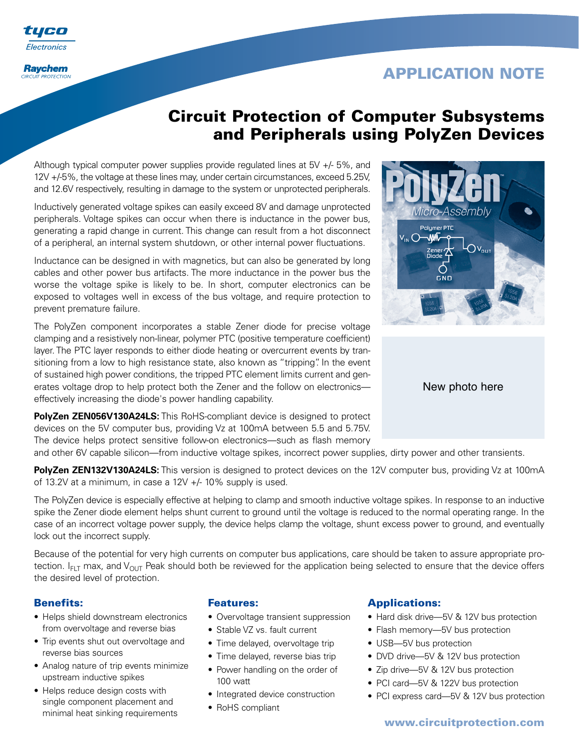i ili eo Electronics

**Raychem CIRCUIT PROTECTION** 

# **APPLICATION NOTE**

# **Circuit Protection of Computer Subsystems and Peripherals using PolyZen Devices**

Although typical computer power supplies provide regulated lines at 5V +/- 5%, and 12V +/-5%, the voltage at these lines may, under certain circumstances, exceed 5.25V, and 12.6V respectively, resulting in damage to the system or unprotected peripherals.

Inductively generated voltage spikes can easily exceed 8V and damage unprotected peripherals. Voltage spikes can occur when there is inductance in the power bus, generating a rapid change in current. This change can result from a hot disconnect of a peripheral, an internal system shutdown, or other internal power fluctuations.

Inductance can be designed in with magnetics, but can also be generated by long cables and other power bus artifacts. The more inductance in the power bus the worse the voltage spike is likely to be. In short, computer electronics can be exposed to voltages well in excess of the bus voltage, and require protection to prevent premature failure.

The PolyZen component incorporates a stable Zener diode for precise voltage clamping and a resistively non-linear, polymer PTC (positive temperature coefficient) layer. The PTC layer responds to either diode heating or overcurrent events by transitioning from a low to high resistance state, also known as "tripping". In the event of sustained high power conditions, the tripped PTC element limits current and generates voltage drop to help protect both the Zener and the follow on electronics effectively increasing the diode's power handling capability.

**PolyZen ZEN056V130A24LS:** This RoHS-compliant device is designed to protect devices on the 5V computer bus, providing Vz at 100mA between 5.5 and 5.75V. The device helps protect sensitive follow-on electronics—such as flash memory



**PolyZen ZEN132V130A24LS:** This version is designed to protect devices on the 12V computer bus, providing Vz at 100mA of 13.2V at a minimum, in case a 12V +/- 10% supply is used.

The PolyZen device is especially effective at helping to clamp and smooth inductive voltage spikes. In response to an inductive spike the Zener diode element helps shunt current to ground until the voltage is reduced to the normal operating range. In the case of an incorrect voltage power supply, the device helps clamp the voltage, shunt excess power to ground, and eventually lock out the incorrect supply.

Because of the potential for very high currents on computer bus applications, care should be taken to assure appropriate protection.  $I_{FIT}$  max, and  $V_{OIT}$  Peak should both be reviewed for the application being selected to ensure that the device offers the desired level of protection.

# **Benefits:**

- Helps shield downstream electronics from overvoltage and reverse bias
- Trip events shut out overvoltage and reverse bias sources
- Analog nature of trip events minimize upstream inductive spikes
- Helps reduce design costs with single component placement and minimal heat sinking requirements

## **Features:**

- Overvoltage transient suppression
- Stable VZ vs. fault current
- Time delayed, overvoltage trip
- Time delayed, reverse bias trip
- Power handling on the order of 100 watt
- Integrated device construction
- RoHS compliant

## **Applications:**

- Hard disk drive—5V & 12V bus protection
- Flash memory—5V bus protection
- USB—5V bus protection
- DVD drive—5V & 12V bus protection
- Zip drive—5V & 12V bus protection
- PCI card—5V & 122V bus protection
- PCI express card—5V & 12V bus protection



New photo here